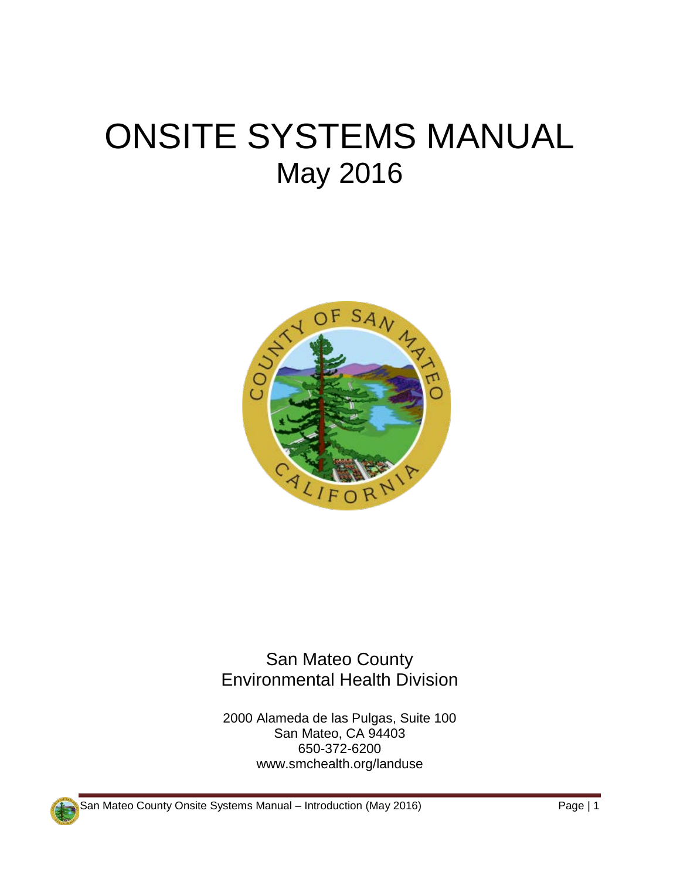## ONSITE SYSTEMS MANUAL May 2016



San Mateo County Environmental Health Division

2000 Alameda de las Pulgas, Suite 100 San Mateo, CA 94403 650-372-6200 www.smchealth.org/landuse

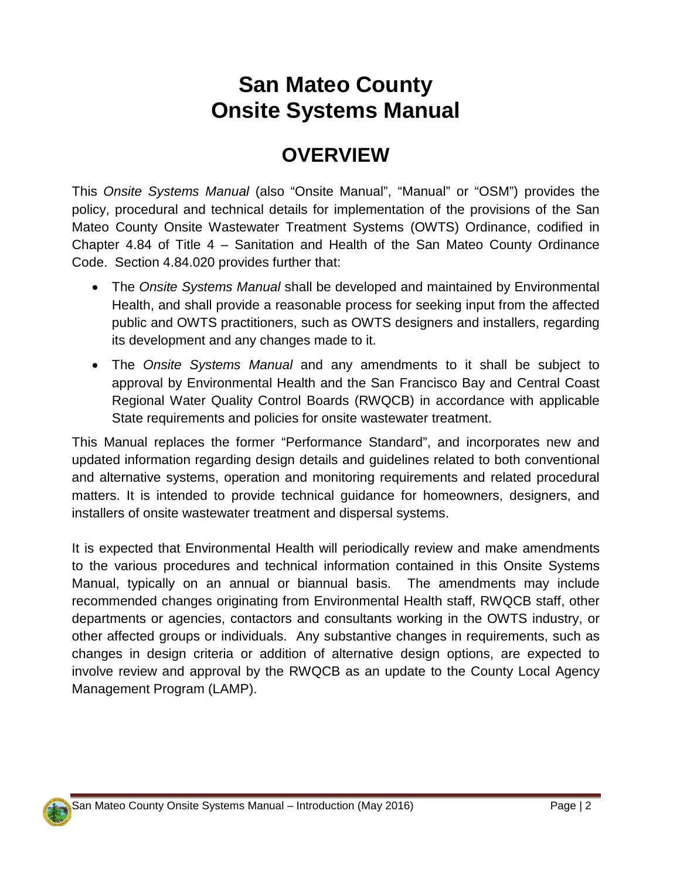## **San Mateo County Onsite Systems Manual**

## **OVERVIEW**

This *Onsite Systems Manual* (also "Onsite Manual", "Manual" or "OSM") provides the policy, procedural and technical details for implementation of the provisions of the San Mateo County Onsite Wastewater Treatment Systems (OWTS) Ordinance, codified in Chapter 4.84 of Title 4 – Sanitation and Health of the San Mateo County Ordinance Code. Section 4.84.020 provides further that:

- The *Onsite Systems Manual* shall be developed and maintained by Environmental Health, and shall provide a reasonable process for seeking input from the affected public and OWTS practitioners, such as OWTS designers and installers, regarding its development and any changes made to it.
- The *Onsite Systems Manual* and any amendments to it shall be subject to approval by Environmental Health and the San Francisco Bay and Central Coast Regional Water Quality Control Boards (RWQCB) in accordance with applicable State requirements and policies for onsite wastewater treatment.

This Manual replaces the former "Performance Standard", and incorporates new and updated information regarding design details and guidelines related to both conventional and alternative systems, operation and monitoring requirements and related procedural matters. It is intended to provide technical guidance for homeowners, designers, and installers of onsite wastewater treatment and dispersal systems.

It is expected that Environmental Health will periodically review and make amendments to the various procedures and technical information contained in this Onsite Systems Manual, typically on an annual or biannual basis. The amendments may include recommended changes originating from Environmental Health staff, RWQCB staff, other departments or agencies, contactors and consultants working in the OWTS industry, or other affected groups or individuals. Any substantive changes in requirements, such as changes in design criteria or addition of alternative design options, are expected to involve review and approval by the RWQCB as an update to the County Local Agency Management Program (LAMP).

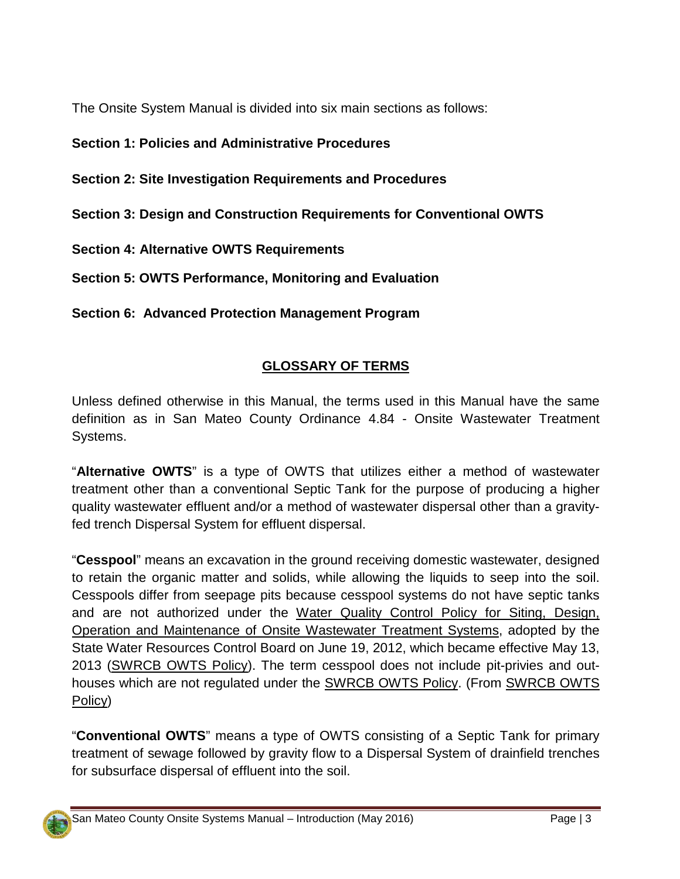The Onsite System Manual is divided into six main sections as follows:

- **Section 1: Policies and Administrative Procedures**
- **Section 2: Site Investigation Requirements and Procedures**
- **Section 3: Design and Construction Requirements for Conventional OWTS**
- **Section 4: Alternative OWTS Requirements**
- **Section 5: OWTS Performance, Monitoring and Evaluation**

**Section 6: Advanced Protection Management Program**

## **GLOSSARY OF TERMS**

Unless defined otherwise in this Manual, the terms used in this Manual have the same definition as in San Mateo County Ordinance 4.84 - Onsite Wastewater Treatment Systems.

"**Alternative OWTS**" is a type of OWTS that utilizes either a method of wastewater treatment other than a conventional Septic Tank for the purpose of producing a higher quality wastewater effluent and/or a method of wastewater dispersal other than a gravityfed trench Dispersal System for effluent dispersal.

"**Cesspool**" means an excavation in the ground receiving domestic wastewater, designed to retain the organic matter and solids, while allowing the liquids to seep into the soil. Cesspools differ from seepage pits because cesspool systems do not have septic tanks and are not authorized under the Water Quality Control Policy for Siting, Design, Operation and Maintenance of Onsite Wastewater Treatment Systems, adopted by the State Water Resources Control Board on June 19, 2012, which became effective May 13, 2013 (SWRCB OWTS Policy). The term cesspool does not include pit-privies and outhouses which are not regulated under the SWRCB OWTS Policy. (From SWRCB OWTS Policy)

"**Conventional OWTS**" means a type of OWTS consisting of a Septic Tank for primary treatment of sewage followed by gravity flow to a Dispersal System of drainfield trenches for subsurface dispersal of effluent into the soil.

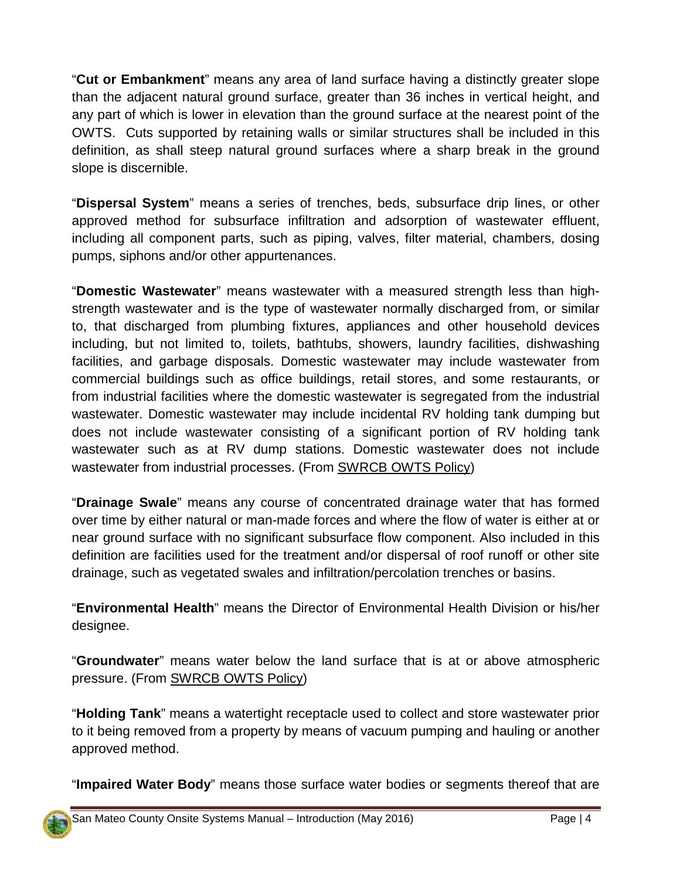"**Cut or Embankment**" means any area of land surface having a distinctly greater slope than the adjacent natural ground surface, greater than 36 inches in vertical height, and any part of which is lower in elevation than the ground surface at the nearest point of the OWTS. Cuts supported by retaining walls or similar structures shall be included in this definition, as shall steep natural ground surfaces where a sharp break in the ground slope is discernible.

"**Dispersal System**" means a series of trenches, beds, subsurface drip lines, or other approved method for subsurface infiltration and adsorption of wastewater effluent, including all component parts, such as piping, valves, filter material, chambers, dosing pumps, siphons and/or other appurtenances.

"**Domestic Wastewater**" means wastewater with a measured strength less than highstrength wastewater and is the type of wastewater normally discharged from, or similar to, that discharged from plumbing fixtures, appliances and other household devices including, but not limited to, toilets, bathtubs, showers, laundry facilities, dishwashing facilities, and garbage disposals. Domestic wastewater may include wastewater from commercial buildings such as office buildings, retail stores, and some restaurants, or from industrial facilities where the domestic wastewater is segregated from the industrial wastewater. Domestic wastewater may include incidental RV holding tank dumping but does not include wastewater consisting of a significant portion of RV holding tank wastewater such as at RV dump stations. Domestic wastewater does not include wastewater from industrial processes. (From SWRCB OWTS Policy)

"**Drainage Swale**" means any course of concentrated drainage water that has formed over time by either natural or man-made forces and where the flow of water is either at or near ground surface with no significant subsurface flow component. Also included in this definition are facilities used for the treatment and/or dispersal of roof runoff or other site drainage, such as vegetated swales and infiltration/percolation trenches or basins.

"**Environmental Health**" means the Director of Environmental Health Division or his/her designee.

"**Groundwater**" means water below the land surface that is at or above atmospheric pressure. (From SWRCB OWTS Policy)

"**Holding Tank**" means a watertight receptacle used to collect and store wastewater prior to it being removed from a property by means of vacuum pumping and hauling or another approved method.

"**Impaired Water Body**" means those surface water bodies or segments thereof that are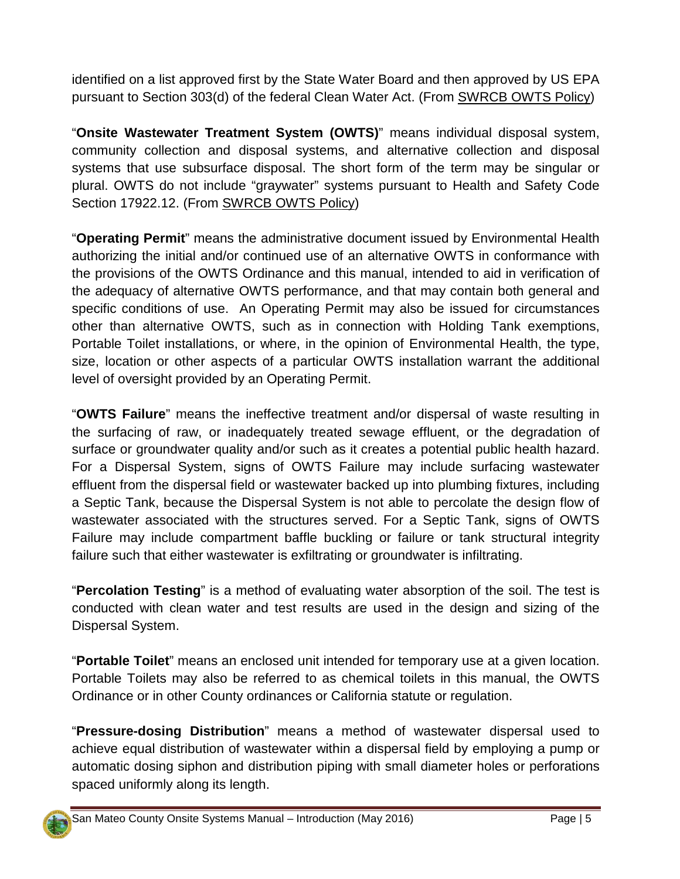identified on a list approved first by the State Water Board and then approved by US EPA pursuant to Section 303(d) of the federal Clean Water Act. (From SWRCB OWTS Policy)

"**Onsite Wastewater Treatment System (OWTS)**" means individual disposal system, community collection and disposal systems, and alternative collection and disposal systems that use subsurface disposal. The short form of the term may be singular or plural. OWTS do not include "graywater" systems pursuant to Health and Safety Code Section 17922.12. (From SWRCB OWTS Policy)

"**Operating Permit**" means the administrative document issued by Environmental Health authorizing the initial and/or continued use of an alternative OWTS in conformance with the provisions of the OWTS Ordinance and this manual, intended to aid in verification of the adequacy of alternative OWTS performance, and that may contain both general and specific conditions of use. An Operating Permit may also be issued for circumstances other than alternative OWTS, such as in connection with Holding Tank exemptions, Portable Toilet installations, or where, in the opinion of Environmental Health, the type, size, location or other aspects of a particular OWTS installation warrant the additional level of oversight provided by an Operating Permit.

"**OWTS Failure**" means the ineffective treatment and/or dispersal of waste resulting in the surfacing of raw, or inadequately treated sewage effluent, or the degradation of surface or groundwater quality and/or such as it creates a potential public health hazard. For a Dispersal System, signs of OWTS Failure may include surfacing wastewater effluent from the dispersal field or wastewater backed up into plumbing fixtures, including a Septic Tank, because the Dispersal System is not able to percolate the design flow of wastewater associated with the structures served. For a Septic Tank, signs of OWTS Failure may include compartment baffle buckling or failure or tank structural integrity failure such that either wastewater is exfiltrating or groundwater is infiltrating.

"**Percolation Testing**" is a method of evaluating water absorption of the soil. The test is conducted with clean water and test results are used in the design and sizing of the Dispersal System.

"**Portable Toilet**" means an enclosed unit intended for temporary use at a given location. Portable Toilets may also be referred to as chemical toilets in this manual, the OWTS Ordinance or in other County ordinances or California statute or regulation.

"**Pressure-dosing Distribution**" means a method of wastewater dispersal used to achieve equal distribution of wastewater within a dispersal field by employing a pump or automatic dosing siphon and distribution piping with small diameter holes or perforations spaced uniformly along its length.

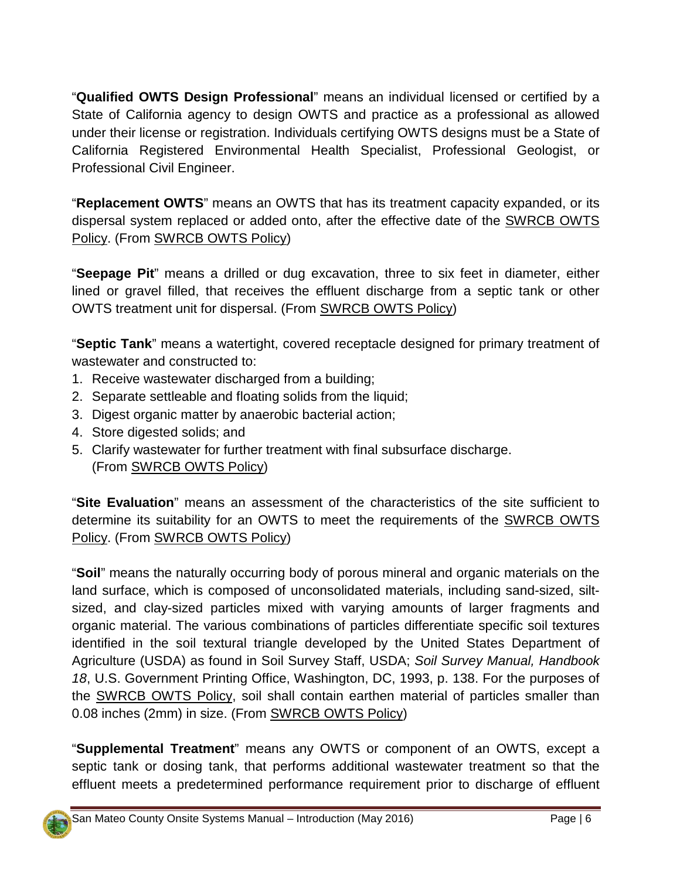"**Qualified OWTS Design Professional**" means an individual licensed or certified by a State of California agency to design OWTS and practice as a professional as allowed under their license or registration. Individuals certifying OWTS designs must be a State of California Registered Environmental Health Specialist, Professional Geologist, or Professional Civil Engineer.

"**Replacement OWTS**" means an OWTS that has its treatment capacity expanded, or its dispersal system replaced or added onto, after the effective date of the SWRCB OWTS Policy. (From SWRCB OWTS Policy)

"**Seepage Pit**" means a drilled or dug excavation, three to six feet in diameter, either lined or gravel filled, that receives the effluent discharge from a septic tank or other OWTS treatment unit for dispersal. (From SWRCB OWTS Policy)

"**Septic Tank**" means a watertight, covered receptacle designed for primary treatment of wastewater and constructed to:

- 1. Receive wastewater discharged from a building;
- 2. Separate settleable and floating solids from the liquid;
- 3. Digest organic matter by anaerobic bacterial action;
- 4. Store digested solids; and
- 5. Clarify wastewater for further treatment with final subsurface discharge. (From SWRCB OWTS Policy)

"**Site Evaluation**" means an assessment of the characteristics of the site sufficient to determine its suitability for an OWTS to meet the requirements of the SWRCB OWTS Policy. (From SWRCB OWTS Policy)

"**Soil**" means the naturally occurring body of porous mineral and organic materials on the land surface, which is composed of unconsolidated materials, including sand-sized, siltsized, and clay-sized particles mixed with varying amounts of larger fragments and organic material. The various combinations of particles differentiate specific soil textures identified in the soil textural triangle developed by the United States Department of Agriculture (USDA) as found in Soil Survey Staff, USDA; *Soil Survey Manual, Handbook 18*, U.S. Government Printing Office, Washington, DC, 1993, p. 138. For the purposes of the SWRCB OWTS Policy, soil shall contain earthen material of particles smaller than 0.08 inches (2mm) in size. (From SWRCB OWTS Policy)

"**Supplemental Treatment**" means any OWTS or component of an OWTS, except a septic tank or dosing tank, that performs additional wastewater treatment so that the effluent meets a predetermined performance requirement prior to discharge of effluent